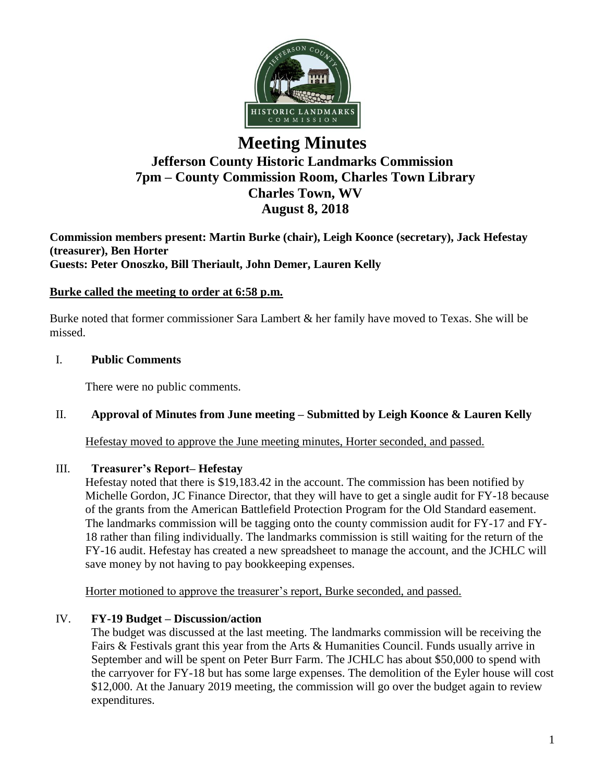

# **Meeting Minutes Jefferson County Historic Landmarks Commission 7pm – County Commission Room, Charles Town Library Charles Town, WV August 8, 2018**

**Commission members present: Martin Burke (chair), Leigh Koonce (secretary), Jack Hefestay (treasurer), Ben Horter Guests: Peter Onoszko, Bill Theriault, John Demer, Lauren Kelly**

### **Burke called the meeting to order at 6:58 p.m.**

Burke noted that former commissioner Sara Lambert & her family have moved to Texas. She will be missed.

### I. **Public Comments**

There were no public comments.

## II. **Approval of Minutes from June meeting – Submitted by Leigh Koonce & Lauren Kelly**

Hefestay moved to approve the June meeting minutes, Horter seconded, and passed.

#### III. **Treasurer's Report– Hefestay**

Hefestay noted that there is \$19,183.42 in the account. The commission has been notified by Michelle Gordon, JC Finance Director, that they will have to get a single audit for FY-18 because of the grants from the American Battlefield Protection Program for the Old Standard easement. The landmarks commission will be tagging onto the county commission audit for FY-17 and FY-18 rather than filing individually. The landmarks commission is still waiting for the return of the FY-16 audit. Hefestay has created a new spreadsheet to manage the account, and the JCHLC will save money by not having to pay bookkeeping expenses.

Horter motioned to approve the treasurer's report, Burke seconded, and passed.

## IV. **FY-19 Budget – Discussion/action**

The budget was discussed at the last meeting. The landmarks commission will be receiving the Fairs & Festivals grant this year from the Arts & Humanities Council. Funds usually arrive in September and will be spent on Peter Burr Farm. The JCHLC has about \$50,000 to spend with the carryover for FY-18 but has some large expenses. The demolition of the Eyler house will cost \$12,000. At the January 2019 meeting, the commission will go over the budget again to review expenditures.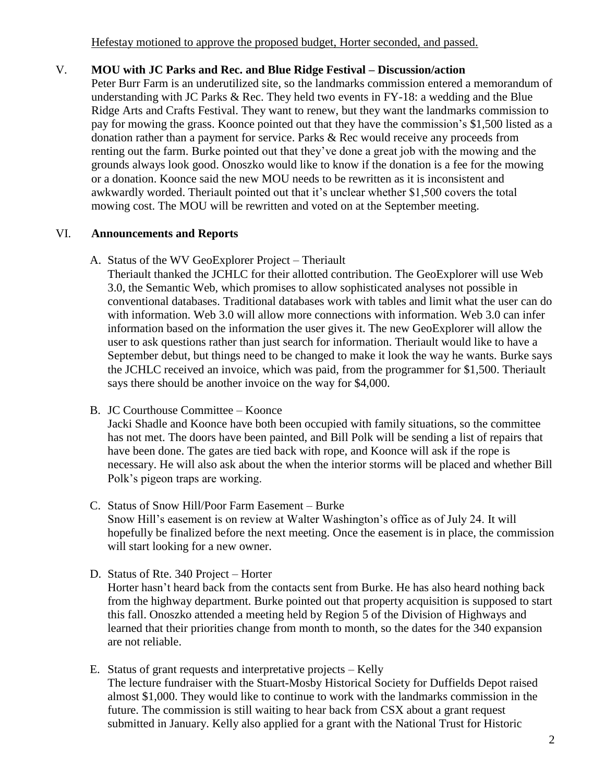Hefestay motioned to approve the proposed budget, Horter seconded, and passed.

# V. **MOU with JC Parks and Rec. and Blue Ridge Festival – Discussion/action**

Peter Burr Farm is an underutilized site, so the landmarks commission entered a memorandum of understanding with JC Parks & Rec. They held two events in FY-18: a wedding and the Blue Ridge Arts and Crafts Festival. They want to renew, but they want the landmarks commission to pay for mowing the grass. Koonce pointed out that they have the commission's \$1,500 listed as a donation rather than a payment for service. Parks & Rec would receive any proceeds from renting out the farm. Burke pointed out that they've done a great job with the mowing and the grounds always look good. Onoszko would like to know if the donation is a fee for the mowing or a donation. Koonce said the new MOU needs to be rewritten as it is inconsistent and awkwardly worded. Theriault pointed out that it's unclear whether \$1,500 covers the total mowing cost. The MOU will be rewritten and voted on at the September meeting.

# VI. **Announcements and Reports**

A. Status of the WV GeoExplorer Project – Theriault

Theriault thanked the JCHLC for their allotted contribution. The GeoExplorer will use Web 3.0, the Semantic Web, which promises to allow sophisticated analyses not possible in conventional databases. Traditional databases work with tables and limit what the user can do with information. Web 3.0 will allow more connections with information. Web 3.0 can infer information based on the information the user gives it. The new GeoExplorer will allow the user to ask questions rather than just search for information. Theriault would like to have a September debut, but things need to be changed to make it look the way he wants. Burke says the JCHLC received an invoice, which was paid, from the programmer for \$1,500. Theriault says there should be another invoice on the way for \$4,000.

B. JC Courthouse Committee – Koonce

Jacki Shadle and Koonce have both been occupied with family situations, so the committee has not met. The doors have been painted, and Bill Polk will be sending a list of repairs that have been done. The gates are tied back with rope, and Koonce will ask if the rope is necessary. He will also ask about the when the interior storms will be placed and whether Bill Polk's pigeon traps are working.

- C. Status of Snow Hill/Poor Farm Easement Burke Snow Hill's easement is on review at Walter Washington's office as of July 24. It will hopefully be finalized before the next meeting. Once the easement is in place, the commission will start looking for a new owner.
- D. Status of Rte. 340 Project Horter

Horter hasn't heard back from the contacts sent from Burke. He has also heard nothing back from the highway department. Burke pointed out that property acquisition is supposed to start this fall. Onoszko attended a meeting held by Region 5 of the Division of Highways and learned that their priorities change from month to month, so the dates for the 340 expansion are not reliable.

E. Status of grant requests and interpretative projects – Kelly The lecture fundraiser with the Stuart-Mosby Historical Society for Duffields Depot raised almost \$1,000. They would like to continue to work with the landmarks commission in the future. The commission is still waiting to hear back from CSX about a grant request submitted in January. Kelly also applied for a grant with the National Trust for Historic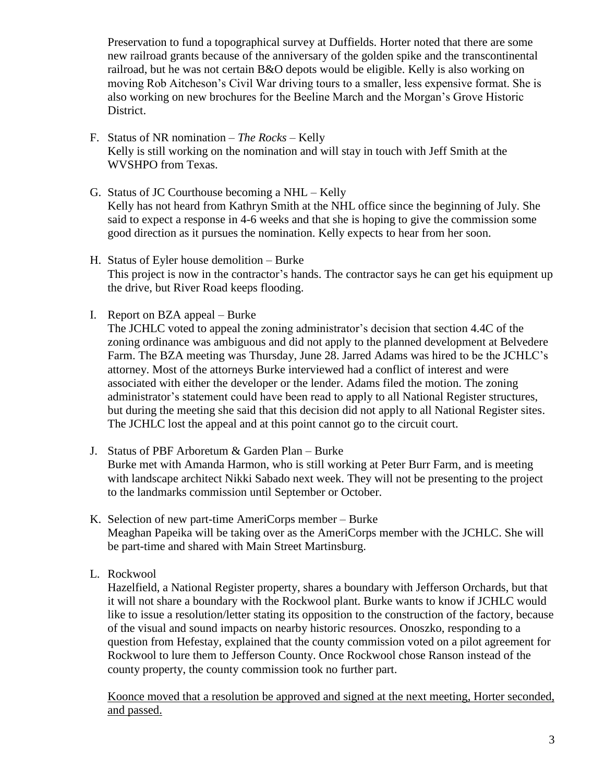Preservation to fund a topographical survey at Duffields. Horter noted that there are some new railroad grants because of the anniversary of the golden spike and the transcontinental railroad, but he was not certain B&O depots would be eligible. Kelly is also working on moving Rob Aitcheson's Civil War driving tours to a smaller, less expensive format. She is also working on new brochures for the Beeline March and the Morgan's Grove Historic District.

- F. Status of NR nomination *The Rocks –* Kelly Kelly is still working on the nomination and will stay in touch with Jeff Smith at the WVSHPO from Texas.
- G. Status of JC Courthouse becoming a NHL Kelly Kelly has not heard from Kathryn Smith at the NHL office since the beginning of July. She said to expect a response in 4-6 weeks and that she is hoping to give the commission some good direction as it pursues the nomination. Kelly expects to hear from her soon.
- H. Status of Eyler house demolition Burke This project is now in the contractor's hands. The contractor says he can get his equipment up the drive, but River Road keeps flooding.
- I. Report on BZA appeal Burke

The JCHLC voted to appeal the zoning administrator's decision that section 4.4C of the zoning ordinance was ambiguous and did not apply to the planned development at Belvedere Farm. The BZA meeting was Thursday, June 28. Jarred Adams was hired to be the JCHLC's attorney. Most of the attorneys Burke interviewed had a conflict of interest and were associated with either the developer or the lender. Adams filed the motion. The zoning administrator's statement could have been read to apply to all National Register structures, but during the meeting she said that this decision did not apply to all National Register sites. The JCHLC lost the appeal and at this point cannot go to the circuit court.

- J. Status of PBF Arboretum & Garden Plan Burke Burke met with Amanda Harmon, who is still working at Peter Burr Farm, and is meeting with landscape architect Nikki Sabado next week. They will not be presenting to the project to the landmarks commission until September or October.
- K. Selection of new part-time AmeriCorps member Burke Meaghan Papeika will be taking over as the AmeriCorps member with the JCHLC. She will be part-time and shared with Main Street Martinsburg.
- L. Rockwool

Hazelfield, a National Register property, shares a boundary with Jefferson Orchards, but that it will not share a boundary with the Rockwool plant. Burke wants to know if JCHLC would like to issue a resolution/letter stating its opposition to the construction of the factory, because of the visual and sound impacts on nearby historic resources. Onoszko, responding to a question from Hefestay, explained that the county commission voted on a pilot agreement for Rockwool to lure them to Jefferson County. Once Rockwool chose Ranson instead of the county property, the county commission took no further part.

Koonce moved that a resolution be approved and signed at the next meeting, Horter seconded, and passed.